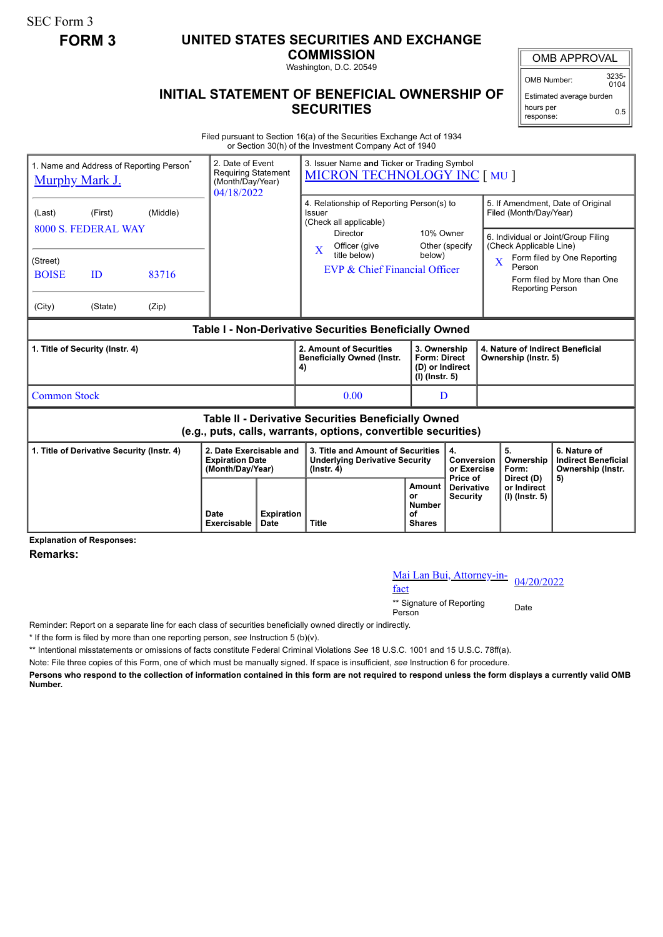SEC Form 3

## **FORM 3 UNITED STATES SECURITIES AND EXCHANGE**

**COMMISSION**

Washington, D.C. 20549

## OMB APPROVAL

OMB Number: 3235-  $0104$ 

Estimated average burden hours per response: 0.5

## **INITIAL STATEMENT OF BENEFICIAL OWNERSHIP OF SECURITIES**

Filed pursuant to Section 16(a) of the Securities Exchange Act of 1934 or Section 30(h) of the Investment Company Act of 1940

| <b>Murphy Mark J.</b>                                                                                                 |                                | 1. Name and Address of Reporting Person <sup>®</sup> | 2. Date of Event<br><b>Requiring Statement</b><br>(Month/Day/Year)<br>04/18/2022 |                           | 3. Issuer Name and Ticker or Trading Symbol<br><b>MICRON TECHNOLOGY INC [ MU ]</b>             |                                                                                                     |                                                                                                                                      |                                                                                                                                                                                              |                                                                 |
|-----------------------------------------------------------------------------------------------------------------------|--------------------------------|------------------------------------------------------|----------------------------------------------------------------------------------|---------------------------|------------------------------------------------------------------------------------------------|-----------------------------------------------------------------------------------------------------|--------------------------------------------------------------------------------------------------------------------------------------|----------------------------------------------------------------------------------------------------------------------------------------------------------------------------------------------|-----------------------------------------------------------------|
| (Last)                                                                                                                | (First)<br>8000 S. FEDERAL WAY | (Middle)                                             |                                                                                  |                           | 4. Relationship of Reporting Person(s) to<br>Issuer<br>(Check all applicable)                  |                                                                                                     |                                                                                                                                      | 5. If Amendment, Date of Original<br>Filed (Month/Day/Year)                                                                                                                                  |                                                                 |
| (Street)<br><b>BOISE</b>                                                                                              | 83716<br>ID                    |                                                      |                                                                                  |                           | Director<br>Officer (give<br>X<br>title below)<br>EVP & Chief Financial Officer                | 10% Owner<br>Other (specify<br>below)                                                               |                                                                                                                                      | 6. Individual or Joint/Group Filing<br>(Check Applicable Line)<br>Form filed by One Reporting<br>$\overline{\mathbf{X}}$<br>Person<br>Form filed by More than One<br><b>Reporting Person</b> |                                                                 |
| (City)                                                                                                                | (State)                        | (Zip)                                                |                                                                                  |                           |                                                                                                |                                                                                                     |                                                                                                                                      |                                                                                                                                                                                              |                                                                 |
| Table I - Non-Derivative Securities Beneficially Owned                                                                |                                |                                                      |                                                                                  |                           |                                                                                                |                                                                                                     |                                                                                                                                      |                                                                                                                                                                                              |                                                                 |
| 1. Title of Security (Instr. 4)                                                                                       |                                |                                                      |                                                                                  |                           | 2. Amount of Securities<br><b>Beneficially Owned (Instr.</b><br>4)                             |                                                                                                     | 4. Nature of Indirect Beneficial<br>3. Ownership<br><b>Form: Direct</b><br>Ownership (Instr. 5)<br>(D) or Indirect<br>(I) (Instr. 5) |                                                                                                                                                                                              |                                                                 |
| <b>Common Stock</b>                                                                                                   |                                |                                                      |                                                                                  |                           | 0.00                                                                                           | D                                                                                                   |                                                                                                                                      |                                                                                                                                                                                              |                                                                 |
| Table II - Derivative Securities Beneficially Owned<br>(e.g., puts, calls, warrants, options, convertible securities) |                                |                                                      |                                                                                  |                           |                                                                                                |                                                                                                     |                                                                                                                                      |                                                                                                                                                                                              |                                                                 |
| 1. Title of Derivative Security (Instr. 4)                                                                            |                                |                                                      | 2. Date Exercisable and<br><b>Expiration Date</b><br>(Month/Day/Year)            |                           | 3. Title and Amount of Securities<br><b>Underlying Derivative Security</b><br>$($ lnstr. 4 $)$ |                                                                                                     | 4.<br>Conversion<br>or Exercise<br>Price of                                                                                          | 5.<br>Ownership<br>Form:                                                                                                                                                                     | 6. Nature of<br><b>Indirect Beneficial</b><br>Ownership (Instr. |
|                                                                                                                       |                                |                                                      | Date<br><b>Exercisable</b>                                                       | <b>Expiration</b><br>Date | <b>Title</b>                                                                                   | <b>Amount</b><br><b>Derivative</b><br>or<br><b>Security</b><br><b>Number</b><br>οf<br><b>Shares</b> |                                                                                                                                      | Direct (D)<br>or Indirect<br>(I) (Instr. 5)                                                                                                                                                  | 5)                                                              |

**Explanation of Responses:**

**Remarks:**

## Mai Lan Bui, Attorney-in-<br>fact

\*\* Signature of Reporting <sub>Date</sub><br>Person

Reminder: Report on a separate line for each class of securities beneficially owned directly or indirectly.

\* If the form is filed by more than one reporting person, *see* Instruction 5 (b)(v).

\*\* Intentional misstatements or omissions of facts constitute Federal Criminal Violations *See* 18 U.S.C. 1001 and 15 U.S.C. 78ff(a).

Note: File three copies of this Form, one of which must be manually signed. If space is insufficient, *see* Instruction 6 for procedure.

**Persons who respond to the collection of information contained in this form are not required to respond unless the form displays a currently valid OMB Number.**